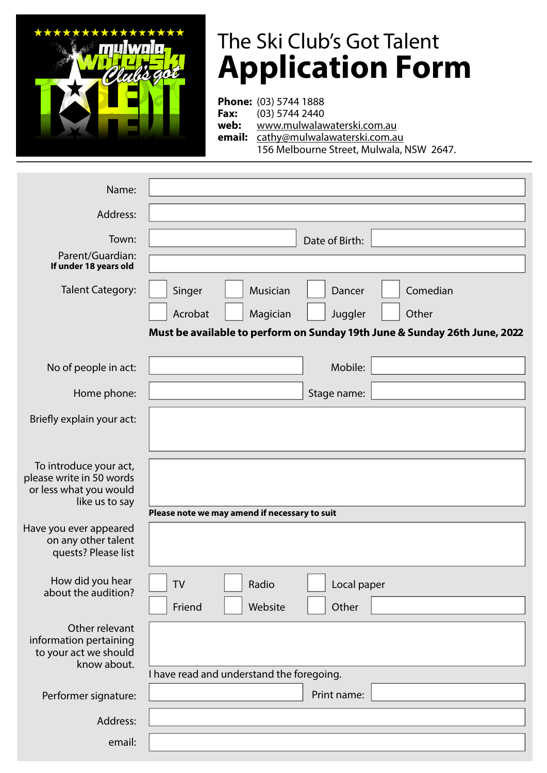

## The Ski Club's Got Talent **Application Form**

**Phone:** (03) 5744 1888 **Fax:** (03) 5744 2440 **web:** www.mulwalawaterski.com.au **email:** cathy@mulwalawaterski.com.au 156 Melbourne Street, Mulwala, NSW 2647.

| Name:                                                                                          |                                                                           |
|------------------------------------------------------------------------------------------------|---------------------------------------------------------------------------|
| Address:                                                                                       |                                                                           |
| Town:                                                                                          | Date of Birth:                                                            |
| Parent/Guardian:<br>If under 18 years old                                                      |                                                                           |
| <b>Talent Category:</b>                                                                        | Comedian<br>Singer<br>Musician<br>Dancer                                  |
|                                                                                                | Acrobat<br>Other<br>Magician<br>Juggler                                   |
|                                                                                                | Must be available to perform on Sunday 19th June & Sunday 26th June, 2022 |
| No of people in act:                                                                           | Mobile:                                                                   |
| Home phone:                                                                                    | Stage name:                                                               |
| Briefly explain your act:                                                                      |                                                                           |
| To introduce your act,<br>please write in 50 words<br>or less what you would<br>like us to say |                                                                           |
|                                                                                                | Please note we may amend if necessary to suit                             |
| Have you ever appeared<br>on any other talent<br>quests? Please list                           |                                                                           |
| How did you hear<br>about the audition?                                                        | TV<br>Radio<br>Local paper                                                |
|                                                                                                | Other<br>Friend<br>Website                                                |
| Other relevant<br>information pertaining<br>to your act we should<br>know about.               |                                                                           |
|                                                                                                | I have read and understand the foregoing.                                 |
| Performer signature:                                                                           | Print name:                                                               |
| Address:                                                                                       |                                                                           |
| email:                                                                                         |                                                                           |